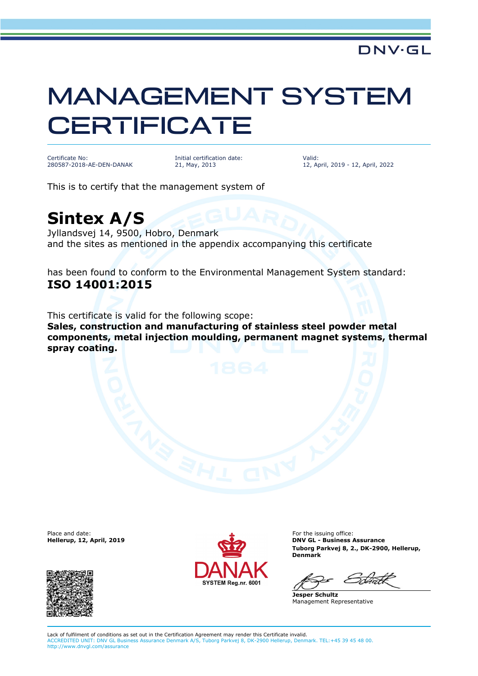## MANAGEMENT SYSTEM **CERTIFICATE**

Certificate No: 280587-2018-AE-DEN-DANAK Initial certification date: 21, May, 2013

Valid: 12, April, 2019 - 12, April, 2022

This is to certify that the management system of

## **Sintex A/S**

Jyllandsvej 14, 9500, Hobro, Denmark and the sites as mentioned in the appendix accompanying this certificate

has been found to conform to the Environmental Management System standard: **ISO 14001:2015**

This certificate is valid for the following scope: **Sales, construction and manufacturing of stainless steel powder metal components, metal injection moulding, permanent magnet systems, thermal spray coating.**

Place and date:<br>Hellerup, 12, April, 2019





For the issuing office: **DNV GL - Business Assurance Tuborg Parkvej 8, 2., DK-2900, Hellerup, Denmark**

**Jesper Schultz** Management Representative